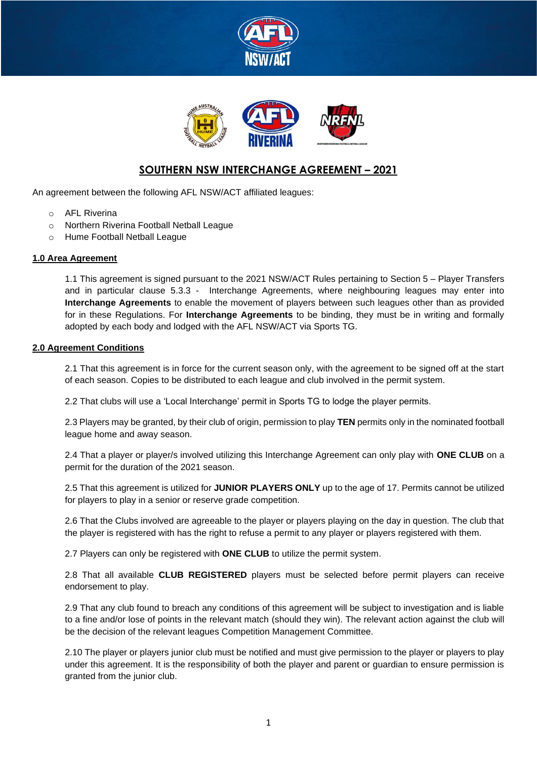



## **SOUTHERN NSW INTERCHANGE AGREEMENT – 2021**

An agreement between the following AFL NSW/ACT affiliated leagues:

- o AFL Riverina
- o Northern Riverina Football Netball League
- o Hume Football Netball League

### **1.0 Area Agreement**

1.1 This agreement is signed pursuant to the 2021 NSW/ACT Rules pertaining to Section 5 – Player Transfers and in particular clause 5.3.3 - Interchange Agreements, where neighbouring leagues may enter into **Interchange Agreements** to enable the movement of players between such leagues other than as provided for in these Regulations. For **Interchange Agreements** to be binding, they must be in writing and formally adopted by each body and lodged with the AFL NSW/ACT via Sports TG.

#### **2.0 Agreement Conditions**

2.1 That this agreement is in force for the current season only, with the agreement to be signed off at the start of each season. Copies to be distributed to each league and club involved in the permit system.

2.2 That clubs will use a 'Local Interchange' permit in Sports TG to lodge the player permits.

2.3 Players may be granted, by their club of origin, permission to play **TEN** permits only in the nominated football league home and away season.

2.4 That a player or player/s involved utilizing this Interchange Agreement can only play with **ONE CLUB** on a permit for the duration of the 2021 season.

2.5 That this agreement is utilized for **JUNIOR PLAYERS ONLY** up to the age of 17. Permits cannot be utilized for players to play in a senior or reserve grade competition.

2.6 That the Clubs involved are agreeable to the player or players playing on the day in question. The club that the player is registered with has the right to refuse a permit to any player or players registered with them.

2.7 Players can only be registered with **ONE CLUB** to utilize the permit system.

2.8 That all available **CLUB REGISTERED** players must be selected before permit players can receive endorsement to play.

2.9 That any club found to breach any conditions of this agreement will be subject to investigation and is liable to a fine and/or lose of points in the relevant match (should they win). The relevant action against the club will be the decision of the relevant leagues Competition Management Committee.

2.10 The player or players junior club must be notified and must give permission to the player or players to play under this agreement. It is the responsibility of both the player and parent or guardian to ensure permission is granted from the junior club.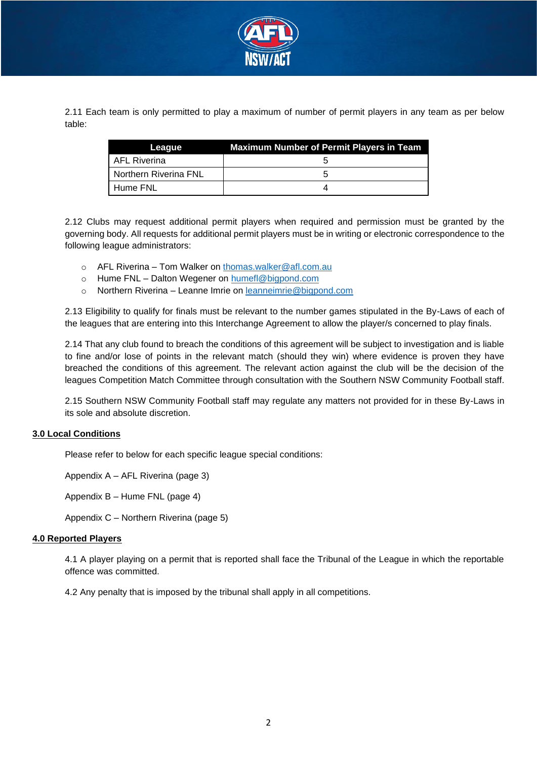

2.11 Each team is only permitted to play a maximum of number of permit players in any team as per below table:

| League                | <b>Maximum Number of Permit Players in Team</b> |
|-----------------------|-------------------------------------------------|
| l AFL Riverina        |                                                 |
| Northern Riverina FNL |                                                 |
| l Hume FNL            |                                                 |

2.12 Clubs may request additional permit players when required and permission must be granted by the governing body. All requests for additional permit players must be in writing or electronic correspondence to the following league administrators:

- o AFL Riverina Tom Walker on thomas.walker@afl.com.au
- o Hume FNL Dalton Wegener on humefl@bigpond.com
- o Northern Riverina Leanne Imrie on leanneimrie@bigpond.com

2.13 Eligibility to qualify for finals must be relevant to the number games stipulated in the By-Laws of each of the leagues that are entering into this Interchange Agreement to allow the player/s concerned to play finals.

2.14 That any club found to breach the conditions of this agreement will be subject to investigation and is liable to fine and/or lose of points in the relevant match (should they win) where evidence is proven they have breached the conditions of this agreement. The relevant action against the club will be the decision of the leagues Competition Match Committee through consultation with the Southern NSW Community Football staff.

2.15 Southern NSW Community Football staff may regulate any matters not provided for in these By-Laws in its sole and absolute discretion.

### **3.0 Local Conditions**

Please refer to below for each specific league special conditions:

Appendix A – AFL Riverina (page 3)

Appendix B – Hume FNL (page 4)

Appendix C – Northern Riverina (page 5)

#### **4.0 Reported Players**

4.1 A player playing on a permit that is reported shall face the Tribunal of the League in which the reportable offence was committed.

4.2 Any penalty that is imposed by the tribunal shall apply in all competitions.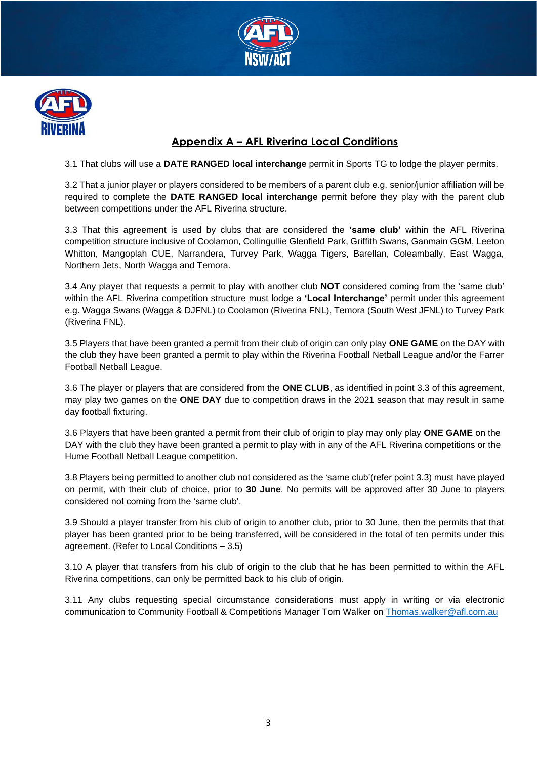



# **Appendix A – AFL Riverina Local Conditions**

3.1 That clubs will use a **DATE RANGED local interchange** permit in Sports TG to lodge the player permits.

3.2 That a junior player or players considered to be members of a parent club e.g. senior/junior affiliation will be required to complete the **DATE RANGED local interchange** permit before they play with the parent club between competitions under the AFL Riverina structure.

3.3 That this agreement is used by clubs that are considered the **'same club'** within the AFL Riverina competition structure inclusive of Coolamon, Collingullie Glenfield Park, Griffith Swans, Ganmain GGM, Leeton Whitton, Mangoplah CUE, Narrandera, Turvey Park, Wagga Tigers, Barellan, Coleambally, East Wagga, Northern Jets, North Wagga and Temora.

3.4 Any player that requests a permit to play with another club **NOT** considered coming from the 'same club' within the AFL Riverina competition structure must lodge a **'Local Interchange'** permit under this agreement e.g. Wagga Swans (Wagga & DJFNL) to Coolamon (Riverina FNL), Temora (South West JFNL) to Turvey Park (Riverina FNL).

3.5 Players that have been granted a permit from their club of origin can only play **ONE GAME** on the DAY with the club they have been granted a permit to play within the Riverina Football Netball League and/or the Farrer Football Netball League.

3.6 The player or players that are considered from the **ONE CLUB**, as identified in point 3.3 of this agreement, may play two games on the **ONE DAY** due to competition draws in the 2021 season that may result in same day football fixturing.

3.6 Players that have been granted a permit from their club of origin to play may only play **ONE GAME** on the DAY with the club they have been granted a permit to play with in any of the AFL Riverina competitions or the Hume Football Netball League competition.

3.8 Players being permitted to another club not considered as the 'same club'(refer point 3.3) must have played on permit, with their club of choice, prior to **30 June**. No permits will be approved after 30 June to players considered not coming from the 'same club'.

3.9 Should a player transfer from his club of origin to another club, prior to 30 June, then the permits that that player has been granted prior to be being transferred, will be considered in the total of ten permits under this agreement. (Refer to Local Conditions – 3.5)

3.10 A player that transfers from his club of origin to the club that he has been permitted to within the AFL Riverina competitions, can only be permitted back to his club of origin.

3.11 Any clubs requesting special circumstance considerations must apply in writing or via electronic communication to Community Football & Competitions Manager Tom Walker on Thomas.walker@afl.com.au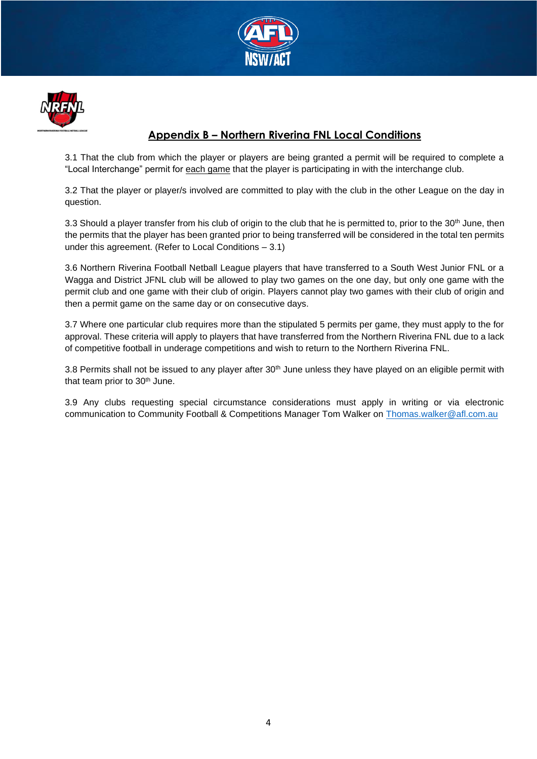



## **Appendix B – Northern Riverina FNL Local Conditions**

3.1 That the club from which the player or players are being granted a permit will be required to complete a "Local Interchange" permit for each game that the player is participating in with the interchange club.

3.2 That the player or player/s involved are committed to play with the club in the other League on the day in question.

3.3 Should a player transfer from his club of origin to the club that he is permitted to, prior to the 30<sup>th</sup> June, then the permits that the player has been granted prior to being transferred will be considered in the total ten permits under this agreement. (Refer to Local Conditions – 3.1)

3.6 Northern Riverina Football Netball League players that have transferred to a South West Junior FNL or a Wagga and District JFNL club will be allowed to play two games on the one day, but only one game with the permit club and one game with their club of origin. Players cannot play two games with their club of origin and then a permit game on the same day or on consecutive days.

3.7 Where one particular club requires more than the stipulated 5 permits per game, they must apply to the for approval. These criteria will apply to players that have transferred from the Northern Riverina FNL due to a lack of competitive football in underage competitions and wish to return to the Northern Riverina FNL.

3.8 Permits shall not be issued to any player after 30<sup>th</sup> June unless they have played on an eligible permit with that team prior to 30<sup>th</sup> June.

3.9 Any clubs requesting special circumstance considerations must apply in writing or via electronic communication to Community Football & Competitions Manager Tom Walker on Thomas.walker@afl.com.au